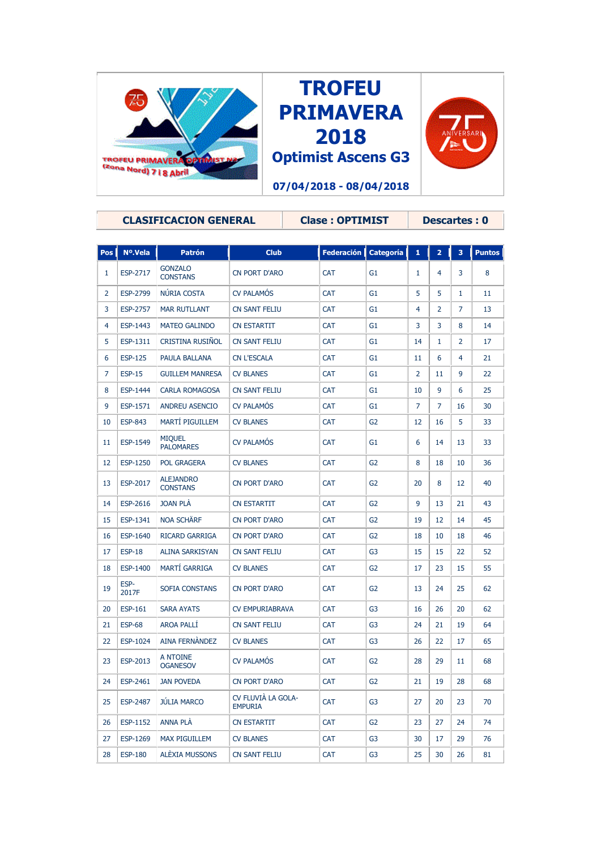





|                | <b>CLASIFICACION GENERAL</b> |                                     |                                      | <b>Clase: OPTIMIST</b> |                |                | <b>Descartes: 0</b> |    |               |  |
|----------------|------------------------------|-------------------------------------|--------------------------------------|------------------------|----------------|----------------|---------------------|----|---------------|--|
|                |                              |                                     |                                      |                        |                |                |                     |    |               |  |
| <b>Pos</b>     | Nº.Vela                      | <b>Patrón</b>                       | <b>Club</b>                          | <b>Federación</b>      | Categoría      | 1              | $\overline{2}$      | 3  | <b>Puntos</b> |  |
| 1              | ESP-2717                     | <b>GONZALO</b><br><b>CONSTANS</b>   | <b>CN PORT D'ARO</b>                 | <b>CAT</b>             | G <sub>1</sub> | 1              | 4                   | 3  | 8             |  |
| $\overline{2}$ | ESP-2799                     | NÚRIA COSTA                         | <b>CV PALAMÓS</b>                    | <b>CAT</b>             | G <sub>1</sub> | 5              | 5                   | 1  | 11            |  |
| 3              | ESP-2757                     | <b>MAR RUTLLANT</b>                 | <b>CN SANT FELIU</b>                 | <b>CAT</b>             | G1             | 4              | 2                   | 7  | 13            |  |
| 4              | ESP-1443                     | <b>MATEO GALINDO</b>                | <b>CN ESTARTIT</b>                   | <b>CAT</b>             | G <sub>1</sub> | 3              | 3                   | 8  | 14            |  |
| 5              | ESP-1311                     | <b>CRISTINA RUSIÑOL</b>             | <b>CN SANT FELIU</b>                 | <b>CAT</b>             | G1             | 14             | 1                   | 2  | 17            |  |
| 6              | <b>ESP-125</b>               | PAULA BALLANA                       | <b>CN L'ESCALA</b>                   | <b>CAT</b>             | G1             | 11             | 6                   | 4  | 21            |  |
| $\overline{7}$ | <b>ESP-15</b>                | <b>GUILLEM MANRESA</b>              | <b>CV BLANES</b>                     | <b>CAT</b>             | G <sub>1</sub> | $\overline{2}$ | 11                  | 9  | 22            |  |
| 8              | ESP-1444                     | <b>CARLA ROMAGOSA</b>               | <b>CN SANT FELIU</b>                 | <b>CAT</b>             | G <sub>1</sub> | 10             | 9                   | 6  | 25            |  |
| 9              | ESP-1571                     | <b>ANDREU ASENCIO</b>               | <b>CV PALAMÓS</b>                    | <b>CAT</b>             | G <sub>1</sub> | 7              | 7                   | 16 | 30            |  |
| 10             | <b>ESP-843</b>               | MARTÍ PIGUILLEM                     | <b>CV BLANES</b>                     | <b>CAT</b>             | G <sub>2</sub> | 12             | 16                  | 5  | 33            |  |
| 11             | ESP-1549                     | <b>MIQUEL</b><br><b>PALOMARES</b>   | <b>CV PALAMÓS</b>                    | <b>CAT</b>             | G1             | 6              | 14                  | 13 | 33            |  |
| 12             | ESP-1250                     | <b>POL GRAGERA</b>                  | <b>CV BLANES</b>                     | <b>CAT</b>             | G2             | 8              | 18                  | 10 | 36            |  |
| 13             | ESP-2017                     | <b>ALEJANDRO</b><br><b>CONSTANS</b> | <b>CN PORT D'ARO</b>                 | <b>CAT</b>             | G2             | 20             | 8                   | 12 | 40            |  |
| 14             | ESP-2616                     | <b>JOAN PLA</b>                     | <b>CN ESTARTIT</b>                   | <b>CAT</b>             | G <sub>2</sub> | 9              | 13                  | 21 | 43            |  |
| 15             | ESP-1341                     | <b>NOA SCHÄRF</b>                   | <b>CN PORT D'ARO</b>                 | <b>CAT</b>             | G2             | 19             | 12                  | 14 | 45            |  |
| 16             | ESP-1640                     | RICARD GARRIGA                      | CN PORT D'ARO                        | <b>CAT</b>             | G <sub>2</sub> | 18             | 10                  | 18 | 46            |  |
| 17             | <b>ESP-18</b>                | ALINA SARKISYAN                     | <b>CN SANT FELIU</b>                 | <b>CAT</b>             | G <sub>3</sub> | 15             | 15                  | 22 | 52            |  |
| 18             | ESP-1400                     | <b>MARTÍ GARRIGA</b>                | <b>CV BLANES</b>                     | <b>CAT</b>             | G2             | 17             | 23                  | 15 | 55            |  |
| 19             | ESP-<br>2017F                | SOFIA CONSTANS                      | CN PORT D'ARO                        | <b>CAT</b>             | G <sub>2</sub> | 13             | 24                  | 25 | 62            |  |
| 20             | <b>ESP-161</b>               | <b>SARA AYATS</b>                   | <b>CV EMPURIABRAVA</b>               | <b>CAT</b>             | G <sub>3</sub> | 16             | 26                  | 20 | 62            |  |
| 21             | <b>ESP-68</b>                | <b>AROA PALLI</b>                   | <b>CN SANT FELIU</b>                 | <b>CAT</b>             | G <sub>3</sub> | 24             | 21                  | 19 | 64            |  |
| 22             | ESP-1024                     | AINA FERNÀNDEZ                      | <b>CV BLANES</b>                     | <b>CAT</b>             | G <sub>3</sub> | 26             | 22                  | 17 | 65            |  |
| 23             | ESP-2013                     | A NTOINE<br><b>OGANESOV</b>         | <b>CV PALAMOS</b>                    | <b>CAT</b>             | G <sub>2</sub> | 28             | 29                  | 11 | 68            |  |
| 24             | ESP-2461                     | <b>JAN POVEDA</b>                   | <b>CN PORT D'ARO</b>                 | <b>CAT</b>             | G <sub>2</sub> | 21             | 19                  | 28 | 68            |  |
| 25             | ESP-2487                     | <b>JÚLIA MARCO</b>                  | CV FLUVIÀ LA GOLA-<br><b>EMPURIA</b> | <b>CAT</b>             | G <sub>3</sub> | 27             | 20                  | 23 | 70            |  |
| 26             | ESP-1152                     | ANNA PLÀ                            | <b>CN ESTARTIT</b>                   | <b>CAT</b>             | G <sub>2</sub> | 23             | 27                  | 24 | 74            |  |
| 27             | ESP-1269                     | <b>MAX PIGUILLEM</b>                | <b>CV BLANES</b>                     | <b>CAT</b>             | G3             | 30             | 17                  | 29 | 76            |  |
| 28             | <b>ESP-180</b>               | ALÈXIA MUSSONS                      | CN SANT FELIU                        | <b>CAT</b>             | G3             | 25             | 30                  | 26 | 81            |  |